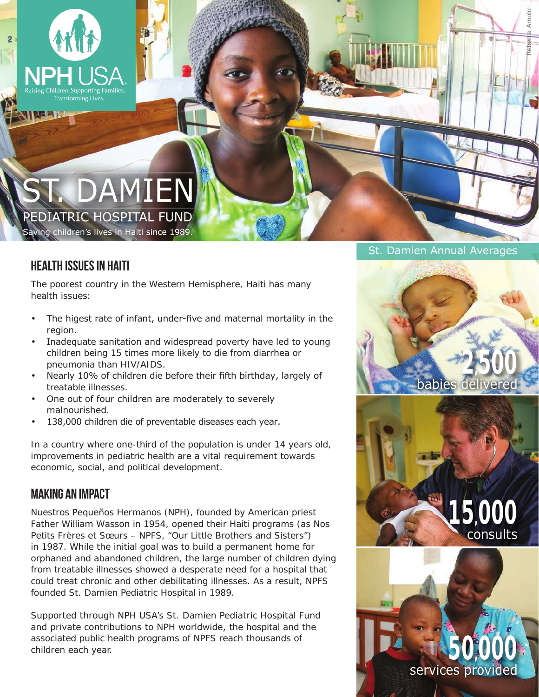

# **DAMIEN** PEDIATRIC HOSPITAL FUND

Saving children's lives in Haiti since 1989.

## Health Issues in Haiti

The poorest country in the Western Hemisphere, Haiti has many health issues:

- The higest rate of infant, under-five and maternal mortality in the region.
- Inadequate sanitation and widespread poverty have led to young children being 15 times more likely to die from diarrhea or pneumonia than HIV/AIDS.
- Nearly 10% of children die before their fifth birthday, largely of treatable illnesses.
- One out of four children are moderately to severely malnourished.
- 138,000 children die of preventable diseases each year.

In a country where one-third of the population is under 14 years old, improvements in pediatric health are a vital requirement towards economic, social, and political development.

### Making an impact

Nuestros Pequeños Hermanos (NPH), founded by American priest Father William Wasson in 1954, opened their Haiti programs (as Nos Petits Frères et Sœurs – NPFS, "Our Little Brothers and Sisters") in 1987. While the initial goal was to build a permanent home for orphaned and abandoned children, the large number of children dying from treatable illnesses showed a desperate need for a hospital that could treat chronic and other debilitating illnesses. As a result, NPFS founded St. Damien Pediatric Hospital in 1989.

Supported through NPH USA's St. Damien Pediatric Hospital Fund and private contributions to NPH worldwide, the hospital and the associated public health programs of NPFS reach thousands of children each year.

#### St. Damien Annual Averages

Rebecca Arnold





**50,000**

services provided